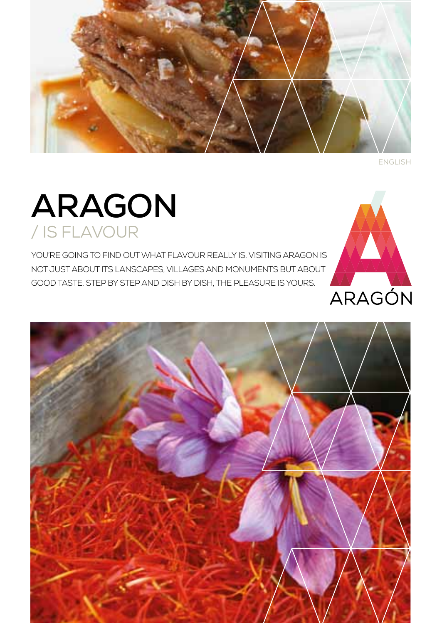

ENGLISH

# / IS FLAVOUR **ARAGON**

YOU'RE GOING TO FIND OUT WHAT FLAVOUR REALLY IS. VISITING ARAGON IS NOT JUST ABOUT ITS LANSCAPES, VILLAGES AND MONUMENTS BUT ABOUT GOOD TASTE. STEP BY STEP AND DISH BY DISH, THE PLEASURE IS YOURS.



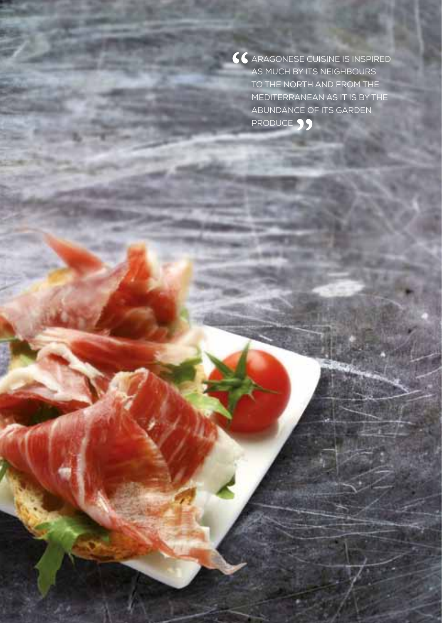$\bigcup$  ARAGONESE CUISINE IS INSPIRED AS MUCH BY ITS NEIGHBOURS TO THE NORTH AND FROM THE MEDITERRANEAN AS IT IS BY THE ABUNDANCE OF ITS GARDEN PRODUCE 99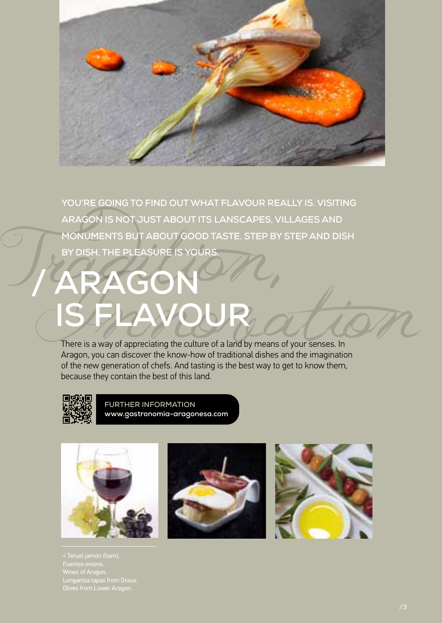

**YOU'RE GOING TO FIND OUT WHAT FLAVOUR REALLY IS. VISITING ARAGON IS NOT JUST ABOUT ITS LANSCAPES, VILLAGES AND BY DISH, THE PLEASURE IS YOURS.**

# MONUMENTS BUT ABOUT GOOD TASTE. STEP BY STEP AND DISH<br>
BY DISH, THE PLEASURE IS YOURS.<br> **THE ANZALID** There is a way of appreciating the culture of a land by means of your senses. In<br>There is a way of appreciating the culture of a land by means of your senses. In<br>Aragon, you can discover the know-how of traditional dishes  **IS FLAVOUR**

There is a way of appreciating the culture of a land by means of your senses. In Aragon, you can discover the know-how of traditional dishes and the imagination of the new generation of chefs. And tasting is the best way to get to know them, because they contain the best of this land.



**FURTHER INFORMATION www.gastronomia-aragonesa.com**



Olives from Lower Aragon.



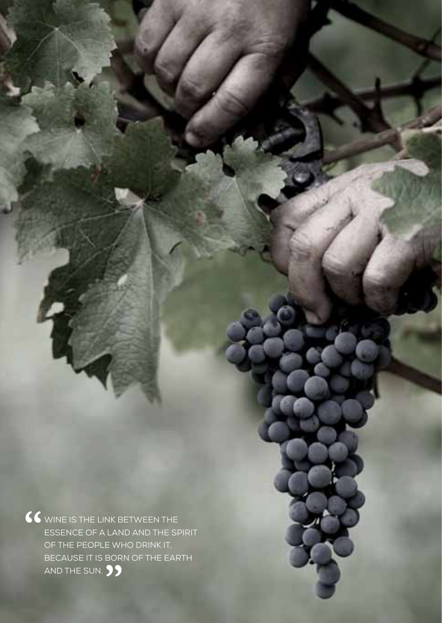WINE IS THE LINK BETWEEN THE ESSENCE OF A LAND AND THE SPIRIT OF THE PEOPLE WHO DRINK IT, BECAUSE IT IS BORN OF THE EARTH AND THE SUN.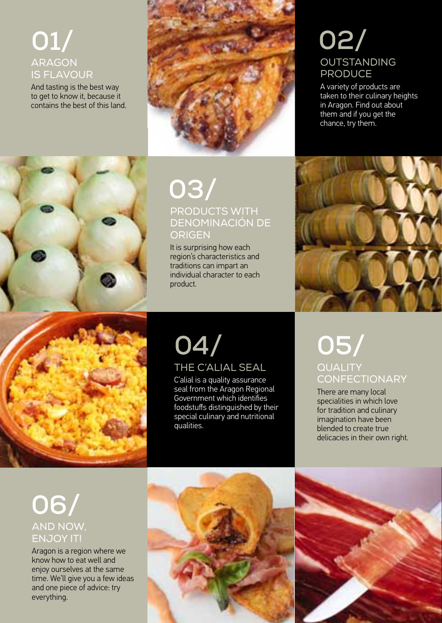### **01/**  ARAGON IS FLAVOUR

And tasting is the best way to get to know it, because it contains the best of this land.





### **03/**  PRODUCTS WITH DENOMINACIÓN DE **ORIGEN**

It is surprising how each region's characteristics and traditions can impart an individual character to each product.

**04/**  THE C'ALIAL SEAL

C'alial is a quality assurance seal from the Aragon Regional Government which identifies foodstuffs distinguished by their special culinary and nutritional qualities.

### **02/**  OUTSTANDING **PRODUCE**

A variety of products are taken to their culinary heights in Aragon. Find out about them and if you get the chance, try them.



### **05/ QUALITY** CONFECTIONARY

There are many local specialities in which love for tradition and culinary imagination have been blended to create true delicacies in their own right.

### **06/** AND NOW, ENJOY IT!

Aragon is a region where we know how to eat well and enjoy ourselves at the same time. We'll give you a few ideas and one piece of advice: try everything.

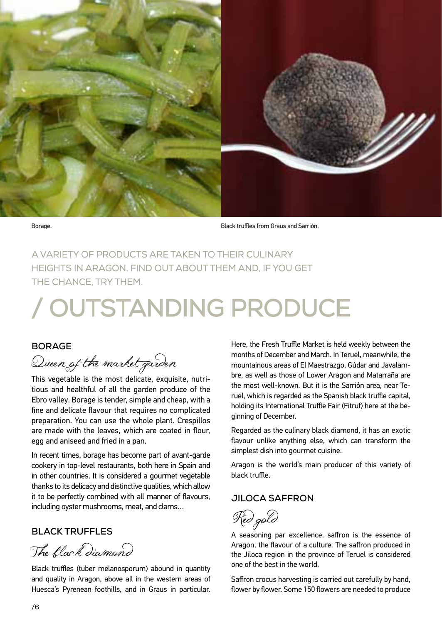

Borage. Black truffles from Graus and Sarrión.

A VARIETY OF PRODUCTS ARE TAKEN TO THEIR CULINARY HEIGHTS IN ARAGON. FIND OUT ABOUT THEM AND, IF YOU GET THE CHANCE, TRY THEM.

# / OUTSTANDING PRODUCE

### **BORAGE**

Queen of the market garden

This vegetable is the most delicate, exquisite, nutritious and healthful of all the garden produce of the Ebro valley. Borage is tender, simple and cheap, with a fine and delicate flavour that requires no complicated preparation. You can use the whole plant. Crespillos are made with the leaves, which are coated in flour, egg and aniseed and fried in a pan.

In recent times, borage has become part of avant-garde cookery in top-level restaurants, both here in Spain and in other countries. It is considered a gourmet vegetable thanks to its delicacy and distinctive qualities, which allow it to be perfectly combined with all manner of flavours, including oyster mushrooms, meat, and clams…

### **BLACK TRUFFLES**

The flack diamond

Black truffles (tuber melanosporum) abound in quantity and quality in Aragon, above all in the western areas of Huesca's Pyrenean foothills, and in Graus in particular. Here, the Fresh Truffle Market is held weekly between the months of December and March. In Teruel, meanwhile, the mountainous areas of El Maestrazgo, Gúdar and Javalambre, as well as those of Lower Aragon and Matarraña are the most well-known. But it is the Sarrión area, near Teruel, which is regarded as the Spanish black truffle capital, holding its International Truffle Fair (Fitruf) here at the beginning of December.

Regarded as the culinary black diamond, it has an exotic flavour unlike anything else, which can transform the simplest dish into gourmet cuisine.

Aragon is the world's main producer of this variety of black truffle.

### **JILOCA SAFFRON**

Red gold

A seasoning par excellence, saffron is the essence of Aragon, the flavour of a culture. The saffron produced in the Jiloca region in the province of Teruel is considered one of the best in the world.

Saffron crocus harvesting is carried out carefully by hand, flower by flower. Some 150 flowers are needed to produce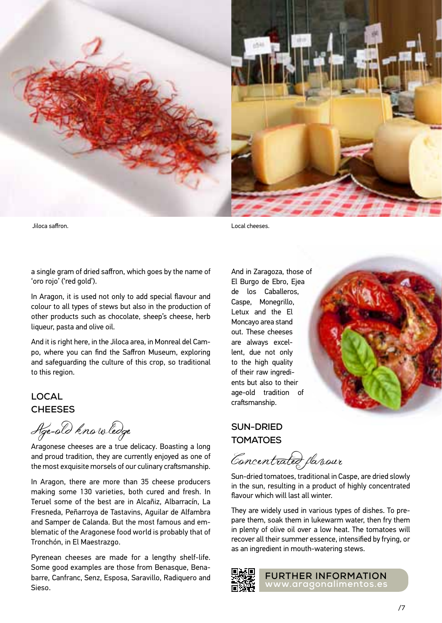

a single gram of dried saffron, which goes by the name of 'oro rojo' ('red gold').

In Aragon, it is used not only to add special flavour and colour to all types of stews but also in the production of other products such as chocolate, sheep's cheese, herb liqueur, pasta and olive oil.

And it is right here, in the Jiloca area, in Monreal del Campo, where you can find the Saffron Museum, exploring and safeguarding the culture of this crop, so traditional to this region.

### **LOCAL CHEESES**

Age-old knowledge

Aragonese cheeses are a true delicacy. Boasting a long and proud tradition, they are currently enjoyed as one of the most exquisite morsels of our culinary craftsmanship.

In Aragon, there are more than 35 cheese producers making some 130 varieties, both cured and fresh. In Teruel some of the best are in Alcañiz, Albarracín, La Fresneda, Peñarroya de Tastavins, Aguilar de Alfambra and Samper de Calanda. But the most famous and emblematic of the Aragonese food world is probably that of Tronchón, in El Maestrazgo.

Pyrenean cheeses are made for a lengthy shelf-life. Some good examples are those from Benasque, Benabarre, Canfranc, Senz, Esposa, Saravillo, Radiquero and Sieso.

And in Zaragoza, those of El Burgo de Ebro, Ejea de los Caballeros, Caspe, Monegrillo, Letux and the El Moncayo area stand out. These cheeses are always excellent, due not only to the high quality of their raw ingredients but also to their age-old tradition of craftsmanship.



### **SUN-DRIED TOMATOES**

Concentrated flavour

Sun-dried tomatoes, traditional in Caspe, are dried slowly in the sun, resulting in a product of highly concentrated flavour which will last all winter.

They are widely used in various types of dishes. To prepare them, soak them in lukewarm water, then fry them in plenty of olive oil over a low heat. The tomatoes will recover all their summer essence, intensified by frying, or as an ingredient in mouth-watering stews.

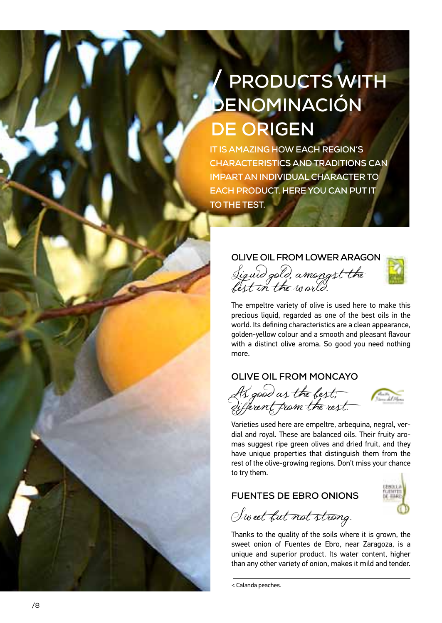## **/ PRODUCTS WITH DENOMINACIÓN DE ORIGEN**

**IT IS AMAZING HOW EACH REGION'S CHARACTERISTICS AND TRADITIONS CAN IMPART AN INDIVIDUAL CHARACTER TO EACH PRODUCT. HERE YOU CAN PUT IT TO THE TEST.**

### **OLIVE OIL FROM LOWER ARAGON**



The empeltre variety of olive is used here to make this precious liquid, regarded as one of the best oils in the world. Its defining characteristics are a clean appearance, golden-yellow colour and a smooth and pleasant flavour with a distinct olive aroma. So good you need nothing more.

### **OLIVE OIL FROM MONCAYO**



Varieties used here are empeltre, arbequina, negral, ver dial and royal. These are balanced oils. Their fruity aro mas suggest ripe green olives and dried fruit, and they have unique properties that distinguish them from the rest of the olive-growing regions. Don't miss your chance to try them.

### **FUENTES DE EBRO ONIONS**



Sweet but not strong.

Thanks to the quality of the soils where it is grown, the sweet onion of Fuentes de Ebro, near Zaragoza, is a unique and superior product. Its water content, higher than any other variety of onion, makes it mild and tender.

<sup>&</sup>lt; Calanda peaches.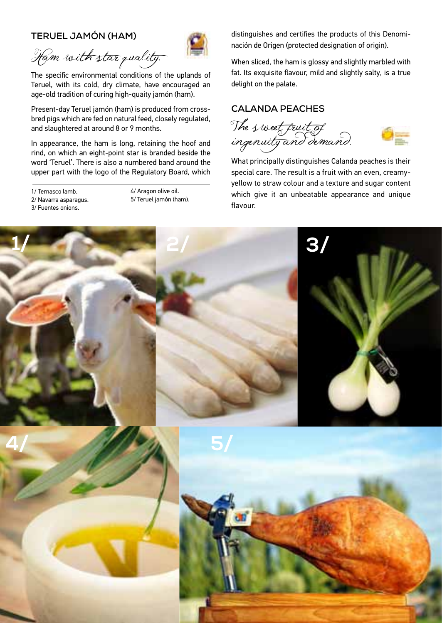### **TERUEL JAMÓN (HAM)**

Ham with star quality.

The specific environmental conditions of the uplands of Teruel, with its cold, dry climate, have encouraged an age-old tradition of curing high-quaity jamón (ham).

Present-day Teruel jamón (ham) is produced from crossbred pigs which are fed on natural feed, closely regulated, and slaughtered at around 8 or 9 months.

In appearance, the ham is long, retaining the hoof and rind, on which an eight-point star is branded beside the word 'Teruel'. There is also a numbered band around the upper part with the logo of the Regulatory Board, which

- 1/ Ternasco lamb.
- 2/ Navarra asparagus.
- 3/ Fuentes onions.
- 4/ Aragon olive oil. 5/ Teruel jamón (ham).

distinguishes and certifies the products of this Denominación de Origen (protected designation of origin).

When sliced, the ham is glossy and slightly marbled with fat. Its exquisite flavour, mild and slightly salty, is a true delight on the palate.

### **CALANDA PEACHES**

The sweet fruit <del>of</del> ingenuity and demand.



What principally distinguishes Calanda peaches is their special care. The result is a fruit with an even, creamyyellow to straw colour and a texture and sugar content which give it an unbeatable appearance and unique flavour.

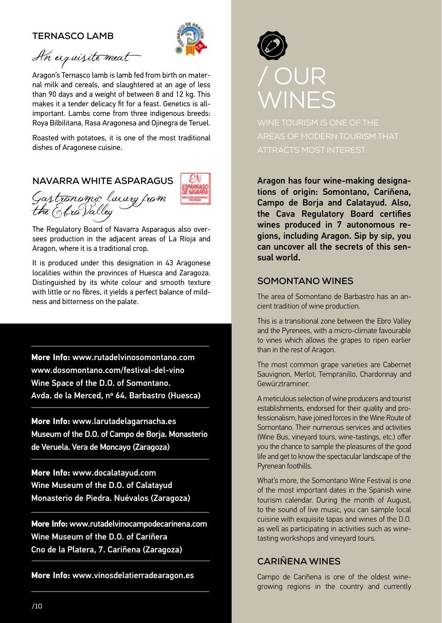### **TERNASCO LAMB**



An exquisite meat

Aragon's Ternasco lamb is lamb fed from birth on maternal milk and cereals, and slaughtered at an age of less than 90 days and a weight of between 8 and 12 kg. This makes it a tender delicacy fit for a feast. Genetics is allimportant. Lambs come from three indigenous breeds: Roya Bilbilitana, Rasa Aragonesa and Ojinegra de Teruel.

Roasted with potatoes, it is one of the most traditional dishes of Aragonese cuisine.

### **NAVARRA WHITE ASPARAGUS**



Gastronomic luxury from the Ebro Valley

The Regulatory Board of Navarra Asparagus also oversees production in the adjacent areas of La Rioja and Aragon, where it is a traditional crop.

It is produced under this designation in 43 Aragonese localities within the provinces of Huesca and Zaragoza. Distinguished by its white colour and smooth texture with little or no fibres, it yields a perfect balance of mildness and bitterness on the palate.

**More Info:** www.rutadelvinosomontano.com www.dosomontano.com/festival-del-vino Wine Space of the D.O. of Somontano. Avda. de la Merced, nº 64. Barbastro (Huesca)

**More Info:** www.larutadelagarnacha.es Museum of the D.O. of Campo de Borja. Monasterio de Veruela. Vera de Moncayo (Zaragoza)

**More Info:** www.docalatayud.com Wine Museum of the D.O. of Calatayud Monasterio de Piedra. Nuévalos (Zaragoza)

**More Info:** www.rutadelvinocampodecarinena.com Wine Museum of the D.O. of Cariñera Cno de la Platera, 7. Cariñena (Zaragoza)

**More Info:** www.vinosdelatierradearagon.es

/ OUR WINES

WINE TOURISM IS ONE OF THE AREAS OF MODERN TOURISM THAT ATTRACTS MOST INTEREST.

Aragon has four wine-making designations of origin: Somontano, Cariñena, Campo de Borja and Calatayud. Also, the Cava Regulatory Board certifies wines produced in 7 autonomous regions, including Aragon. Sip by sip, you can uncover all the secrets of this sensual world.

### **SOMONTANO WINES**

The area of Somontano de Barbastro has an ancient tradition of wine production.

This is a transitional zone between the Ebro Valley and the Pyrenees, with a micro-climate favourable to vines which allows the grapes to ripen earlier than in the rest of Aragon.

The most common grape varieties are Cabernet Sauvignon, Merlot, Tempranillo, Chardonnay and Gewürztraminer.

A meticulous selection of wine producers and tourist establishments, endorsed for their quality and professionalism, have joined forces in the Wine Route of Somontano. Their numerous services and activities (Wine Bus, vineyard tours, wine-tastings, etc.) offer you the chance to sample the pleasures of the good life and get to know the spectacular landscape of the Pyrenean foothills.

What's more, the Somontano Wine Festival is one of the most important dates in the Spanish wine tourism calendar. During the month of August, to the sound of live music, you can sample local cuisine with exquisite tapas and wines of the D.O. as well as participating in activities such as winetasting workshops and vineyard tours.

### **CARIÑENA WINES**

Campo de Cariñena is one of the oldest winegrowing regions in the country and currently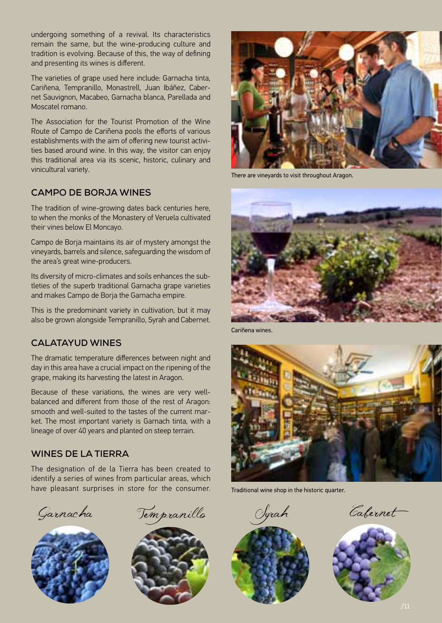undergoing something of a revival. Its characteristics remain the same, but the wine-producing culture and tradition is evolving. Because of this, the way of defining and presenting its wines is different.

The varieties of grape used here include: Garnacha tinta, Cariñena, Tempranillo, Monastrell, Juan Ibáñez, Cabernet Sauvignon, Macabeo, Garnacha blanca, Parellada and Moscatel romano.

The Association for the Tourist Promotion of the Wine Route of Campo de Cariñena pools the efforts of various establishments with the aim of offering new tourist activities based around wine. In this way, the visitor can enjoy this traditional area via its scenic, historic, culinary and vinicultural variety.

### **CAMPO DE BORJA WINES**

The tradition of wine-growing dates back centuries here, to when the monks of the Monastery of Veruela cultivated their vines below El Moncayo.

Campo de Borja maintains its air of mystery amongst the vineyards, barrels and silence, safeguarding the wisdom of the area's great wine-producers.

Its diversity of micro-climates and soils enhances the subtleties of the superb traditional Garnacha grape varieties and makes Campo de Borja the Garnacha empire.

This is the predominant variety in cultivation, but it may also be grown alongside Tempranillo, Syrah and Cabernet.

### **CALATAYUD WINES**

The dramatic temperature differences between night and day in this area have a crucial impact on the ripening of the grape, making its harvesting the latest in Aragon.

Because of these variations, the wines are very wellbalanced and different from those of the rest of Aragon: smooth and well-suited to the tastes of the current market. The most important variety is Garnach tinta, with a lineage of over 40 years and planted on steep terrain.

### **WINES DE LA TIERRA**

The designation of de la Tierra has been created to identify a series of wines from particular areas, which have pleasant surprises in store for the consumer.



Garnacha Tempranillo Syrah Cabernet



There are vineyards to visit throughout Aragon.



Cariñena wines.



Traditional wine shop in the historic quarter.

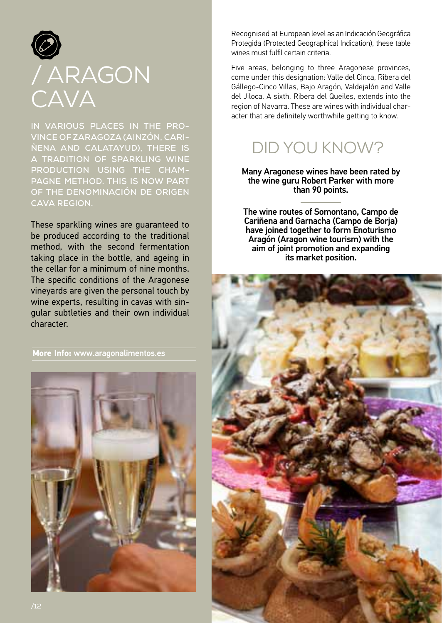

**IN VARIOUS PLACES IN THE PRO-VINCE OF ZARAGOZA (AINZÓN, CARI-ÑENA AND CALATAYUD), THERE IS A TRADITION OF SPARKLING WINE PRODUCTION USING THE CHAM-PAGNE METHOD. THIS IS NOW PART OF THE DENOMINACIÓN DE ORIGEN CAVA REGION.**

These sparkling wines are guaranteed to be produced according to the traditional method, with the second fermentation taking place in the bottle, and ageing in the cellar for a minimum of nine months. The specific conditions of the Aragonese vineyards are given the personal touch by wine experts, resulting in cavas with singular subtleties and their own individual character.

**More Info:** www.aragonalimentos.es



Recognised at European level as an Indicación Geográfica Protegida (Protected Geographical Indication), these table wines must fulfil certain criteria.

Five areas, belonging to three Aragonese provinces, come under this designation: Valle del Cinca, Ribera del Gállego-Cinco Villas, Bajo Aragón, Valdejalón and Valle del Jiloca. A sixth, Ribera del Queiles, extends into the region of Navarra. These are wines with individual character that are definitely worthwhile getting to know.



Many Aragonese wines have been rated by the wine guru Robert Parker with more than 90 points.

The wine routes of Somontano, Campo de Cariñena and Garnacha (Campo de Borja) have joined together to form Enoturismo Aragón (Aragon wine tourism) with the aim of joint promotion and expanding its market position.

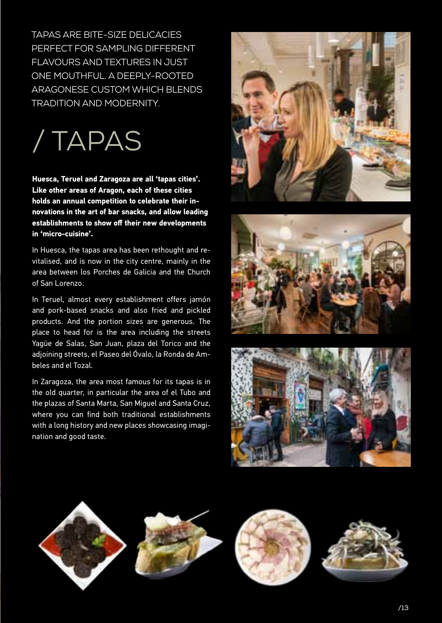TAPAS ARE BITE-SIZE DELICACIES PERFECT FOR SAMPLING DIFFERENT FLAVOURS AND TEXTURES IN JUST ONE MOUTHFUL. A DEEPLY-ROOTED ARAGONESE CUSTOM WHICH BLENDS TRADITION AND MODERNITY.



**Huesca, Teruel and Zaragoza are all 'tapas cities'. Like other areas of Aragon, each of these cities holds an annual competition to celebrate their innovations in the art of bar snacks, and allow leading establishments to show off their new developments in 'micro-cuisine'.**

In Huesca, the tapas area has been rethought and revitalised, and is now in the city centre, mainly in the area between los Porches de Galicia and the Church of San Lorenzo.

In Teruel, almost every establishment offers jamón and pork-based snacks and also fried and pickled products. And the portion sizes are generous. The place to head for is the area including the streets Yagüe de Salas, San Juan, plaza del Torico and the adjoining streets, el Paseo del Óvalo, la Ronda de Ambeles and el Tozal.

In Zaragoza, the area most famous for its tapas is in the old quarter, in particular the area of el Tubo and the plazas of Santa Marta, San Miguel and Santa Cruz, where you can find both traditional establishments with a long history and new places showcasing imagination and good taste.







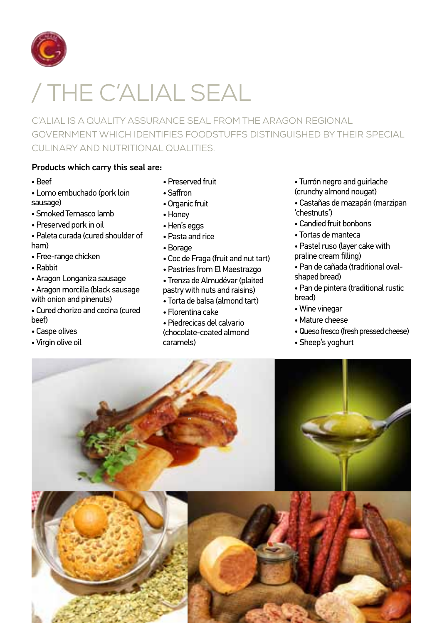

# / THE C'ALIAL SEAL

C'ALIAL IS A QUALITY ASSURANCE SEAL FROM THE ARAGON REGIONAL GOVERNMENT WHICH IDENTIFIES FOODSTUFFS DISTINGUISHED BY THEIR SPECIAL CULINARY AND NUTRITIONAL QUALITIES.

### Products which carry this seal are:

- Beef
- Lomo embuchado (pork loin sausage)
- Smoked Ternasco lamb
- Preserved pork in oil
- Paleta curada (cured shoulder of ham)
- Free-range chicken
- Rabbit
- Aragon Longaniza sausage
- Aragon morcilla (black sausage with onion and pinenuts)
- Cured chorizo and cecina (cured beef)
- Caspe olives
- Virgin olive oil
- Preserved fruit
- Saffron
- Organic fruit
- Honey
- Hen's eggs
- Pasta and rice
- Borage
- Coc de Fraga (fruit and nut tart)
- Pastries from El Maestrazgo
- Trenza de Almudévar (plaited pastry with nuts and raisins)
- Torta de balsa (almond tart)
- Florentina cake
- Piedrecicas del calvario (chocolate-coated almond caramels)
- Turrón negro and guirlache
- (crunchy almond nougat)
- Castañas de mazapán (marzipan 'chestnuts')
- Candied fruit bonbons
- Tortas de manteca
- Pastel ruso (layer cake with praline cream filling)
- Pan de cañada (traditional ovalshaped bread)
- Pan de pintera (traditional rustic bread)
- Wine vinegar
- Mature cheese
- Queso fresco (fresh pressed cheese)
- Sheep's yoghurt

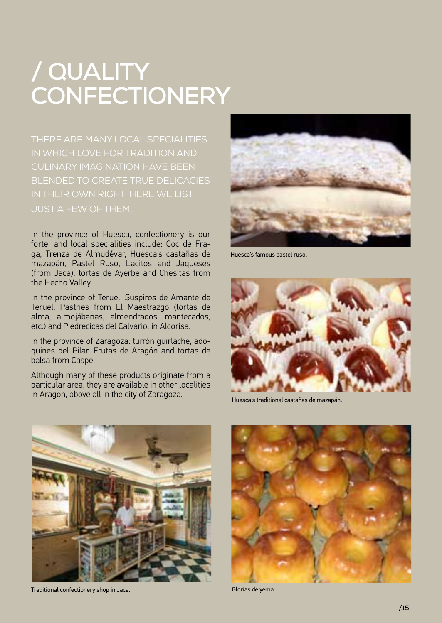# **/ QUALITY CONFECTIONERY**

THERE ARE MANY LOCAL SPECIALITIES CULINARY IMAGINATION HAVE BEEN BLENDED TO CREATE TRUE DELICACIES IN THEIR OWN RIGHT. HERE WE LIST JUST A FEW OF THEM.

In the province of Huesca, confectionery is our forte, and local specialities include: Coc de Fraga, Trenza de Almudévar, Huesca's castañas de mazapán, Pastel Ruso, Lacitos and Jaqueses (from Jaca), tortas de Ayerbe and Chesitas from the Hecho Valley.

In the province of Teruel: Suspiros de Amante de Teruel, Pastries from El Maestrazgo (tortas de alma, almojábanas, almendrados, mantecados, etc.) and Piedrecicas del Calvario, in Alcorisa.

In the province of Zaragoza: turrón guirlache, adoquines del Pilar, Frutas de Aragón and tortas de balsa from Caspe.

Although many of these products originate from a particular area, they are available in other localities in Aragon, above all in the city of Zaragoza.



Huesca's famous pastel ruso.



Huesca's traditional castañas de mazapán.



Traditional confectionery shop in Jaca. Glorias de yema. Glorias de yema.

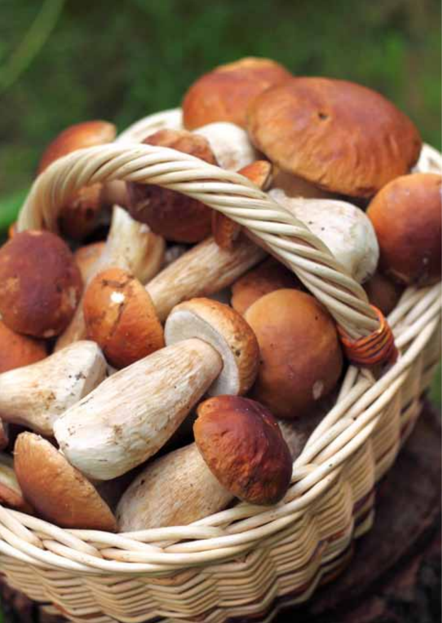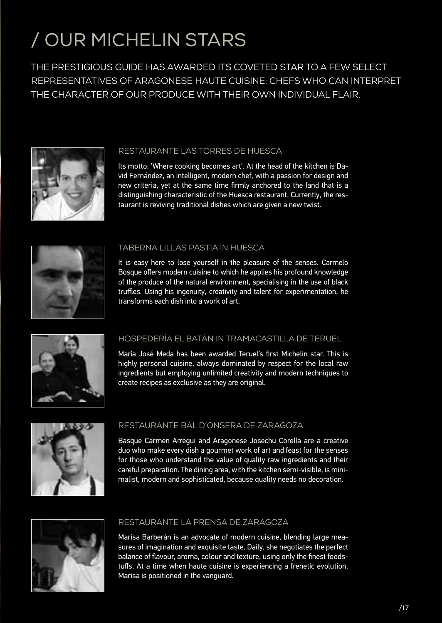# / OUR MICHELIN STARS

THE PRESTIGIOUS GUIDE HAS AWARDED ITS COVETED STAR TO A FEW SELECT REPRESENTATIVES OF ARAGONESE HAUTE CUISINE: CHEFS WHO CAN INTERPRET THE CHARACTER OF OUR PRODUCE WITH THEIR OWN INDIVIDUAL FLAIR.



#### RESTAURANTE LAS TORRES DE HUESCA

Its motto: 'Where cooking becomes art'. At the head of the kitchen is David Fernández, an intelligent, modern chef, with a passion for design and new criteria, yet at the same time firmly anchored to the land that is a distinguishing characteristic of the Huesca restaurant. Currently, the restaurant is reviving traditional dishes which are given a new twist.



#### TABERNA LILLAS PASTIA IN HUESCA

It is easy here to lose yourself in the pleasure of the senses. Carmelo Bosque offers modern cuisine to which he applies his profound knowledge of the produce of the natural environment, specialising in the use of black truffles. Using his ingenuity, creativity and talent for experimentation, he transforms each dish into a work of art.



### HOSPEDERÍA EL BATÁN IN TRAMACASTILLA DE TERUEL

María José Meda has been awarded Teruel's first Michelin star. This is highly personal cuisine, always dominated by respect for the local raw ingredients but employing unlimited creativity and modern techniques to create recipes as exclusive as they are original.



#### RESTAURANTE BAL D´ONSERA DE ZARAGOZA

Basque Carmen Arregui and Aragonese Josechu Corella are a creative duo who make every dish a gourmet work of art and feast for the senses for those who understand the value of quality raw ingredients and their careful preparation. The dining area, with the kitchen semi-visible, is minimalist, modern and sophisticated, because quality needs no decoration.



#### RESTAURANTE LA PRENSA DE ZARAGOZA

Marisa Barberán is an advocate of modern cuisine, blending large measures of imagination and exquisite taste. Daily, she negotiates the perfect balance of flavour, aroma, colour and texture, using only the finest foodstuffs. At a time when haute cuisine is experiencing a frenetic evolution, Marisa is positioned in the vanguard.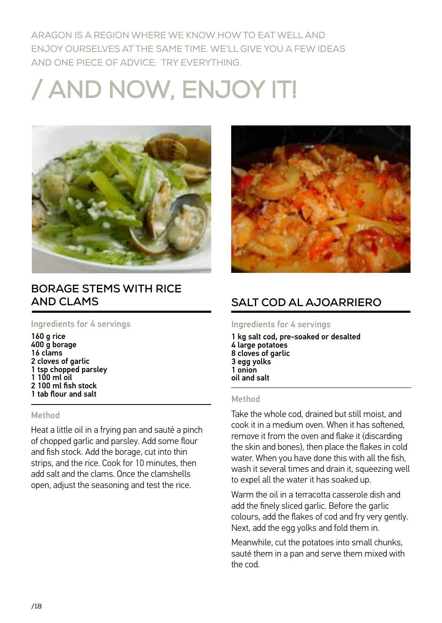ARAGON IS A REGION WHERE WE KNOW HOW TO EAT WELL AND ENJOY OURSELVES AT THE SAME TIME. WE'LL GIVE YOU A FEW IDEAS AND ONE PIECE OF ADVICE: TRY EVERYTHING.

# / AND NOW, ENJOY IT!



### **BORAGE STEMS WITH RICE AND CLAMS**

### Ingredients for 4 servings

160 g rice 400 g borage 16 clams 2 cloves of garlic 1 tsp chopped parsley 1 100 ml oil 2 100 ml fish stock 1 tab flour and salt

### Method

Heat a little oil in a frying pan and sauté a pinch of chopped garlic and parsley. Add some flour and fish stock. Add the borage, cut into thin strips, and the rice. Cook for 10 minutes, then add salt and the clams. Once the clamshells open, adjust the seasoning and test the rice.



### **SALT COD AL AJOARRIERO**

### Ingredients for 4 servings

1 kg salt cod, pre-soaked or desalted 4 large potatoes 8 cloves of garlic 3 egg yolks 1 onion oil and salt

### Method

Take the whole cod, drained but still moist, and cook it in a medium oven. When it has softened, remove it from the oven and flake it (discarding the skin and bones), then place the flakes in cold water. When you have done this with all the fish, wash it several times and drain it, squeezing well to expel all the water it has soaked up.

Warm the oil in a terracotta casserole dish and add the finely sliced garlic. Before the garlic colours, add the flakes of cod and fry very gently. Next, add the egg yolks and fold them in.

Meanwhile, cut the potatoes into small chunks, sauté them in a pan and serve them mixed with the cod.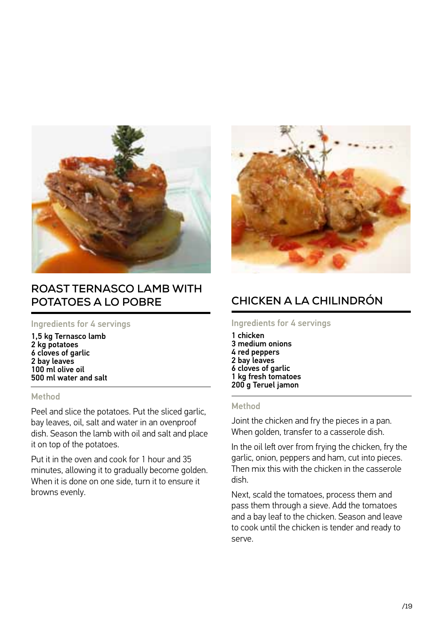

### **ROAST TERNASCO LAMB WITH POTATOES A LO POBRE**

#### Ingredients for 4 servings

1,5 kg Ternasco lamb 2 kg potatoes 6 cloves of garlic 2 bay leaves 100 ml olive oil 500 ml water and salt

#### Method

Peel and slice the potatoes. Put the sliced garlic, bay leaves, oil, salt and water in an ovenproof dish. Season the lamb with oil and salt and place it on top of the potatoes.

Put it in the oven and cook for 1 hour and 35 minutes, allowing it to gradually become golden. When it is done on one side, turn it to ensure it browns evenly.



### **CHICKEN A LA CHILINDRÓN**

#### Ingredients for 4 servings

- 1 chicken 3 medium onions
- 4 red peppers 2 bay leaves 6 cloves of garlic 1 kg fresh tomatoes 200 g Teruel jamon

### Method

Joint the chicken and fry the pieces in a pan. When golden, transfer to a casserole dish.

In the oil left over from frying the chicken, fry the garlic, onion, peppers and ham, cut into pieces. Then mix this with the chicken in the casserole dish.

Next, scald the tomatoes, process them and pass them through a sieve. Add the tomatoes and a bay leaf to the chicken. Season and leave to cook until the chicken is tender and ready to serve.